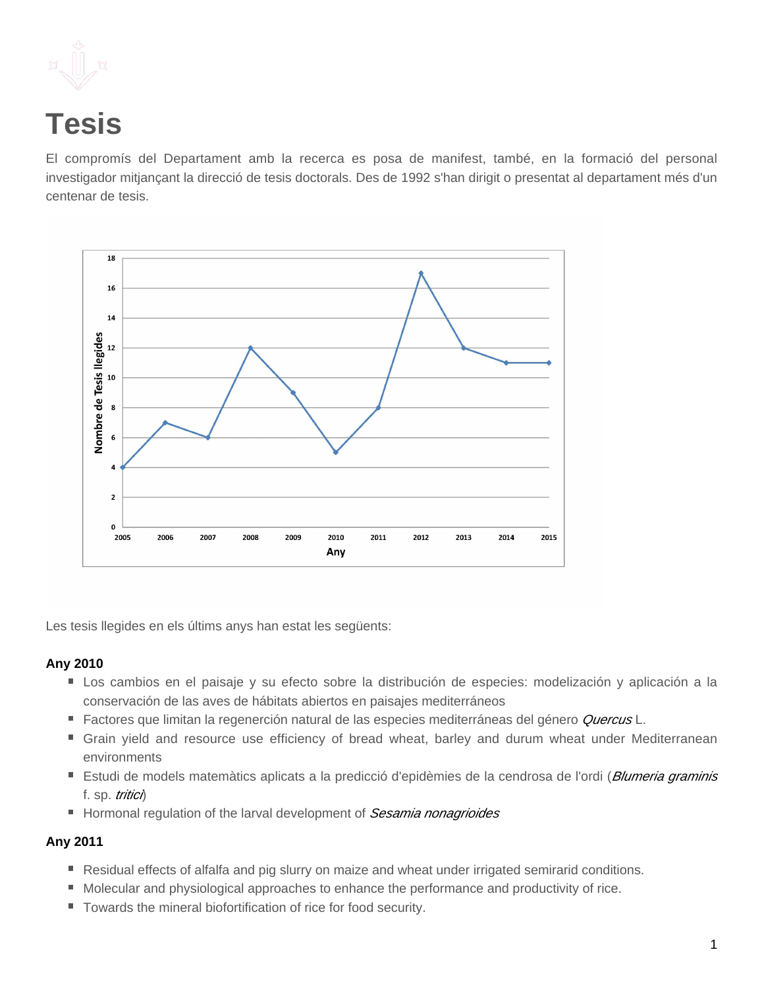

# **Tesis**

El compromís del Departament amb la recerca es posa de manifest, també, en la formació del personal investigador mitjançant la direcció de tesis doctorals. Des de 1992 s'han dirigit o presentat al departament més d'un centenar de tesis.



Les tesis llegides en els últims anys han estat les següents:

### **Any 2010**

- Los cambios en el paisaje y su efecto sobre la distribución de especies: modelización y aplicación a la conservación de las aves de hábitats abiertos en paisajes mediterráneos
- Factores que limitan la regenerción natural de las especies mediterráneas del género Quercus L.
- Grain yield and resource use efficiency of bread wheat, barley and durum wheat under Mediterranean environments
- Estudi de models matemàtics aplicats a la predicció d'epidèmies de la cendrosa de l'ordi (*Blumeria graminis* f. sp. tritici)
- Hormonal regulation of the larval development of Sesamia nonagrioides

# **Any 2011**

- Residual effects of alfalfa and pig slurry on maize and wheat under irrigated semirarid conditions.
- Molecular and physiological approaches to enhance the performance and productivity of rice.
- Towards the mineral biofortification of rice for food security.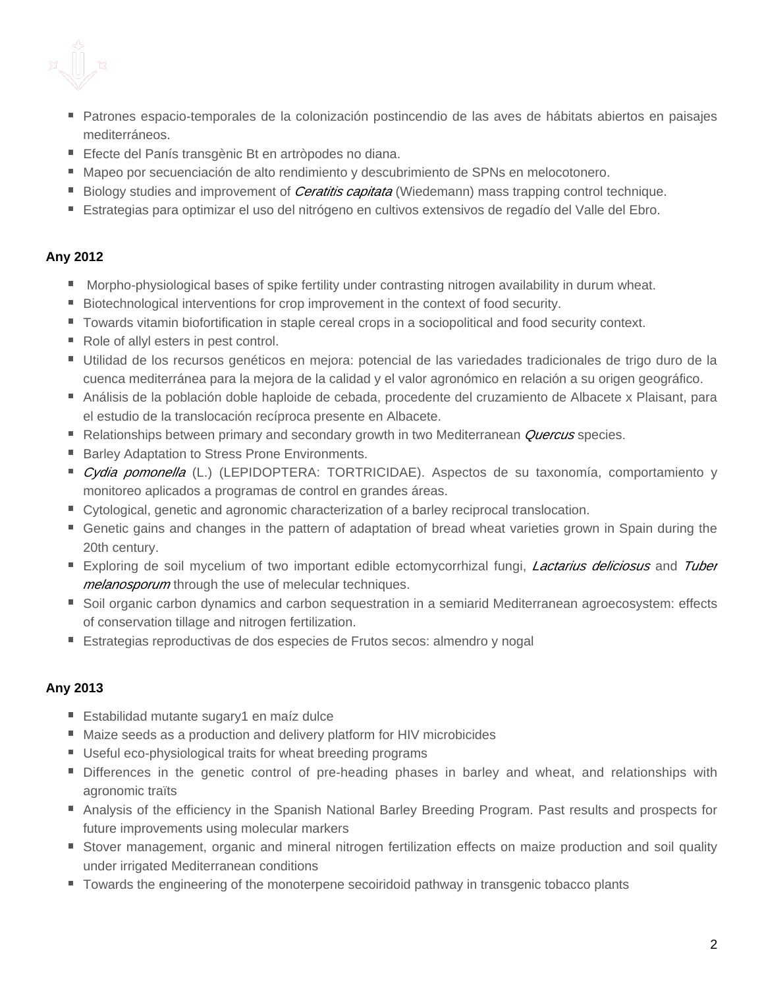- Patrones espacio-temporales de la colonización postincendio de las aves de hábitats abiertos en paisajes mediterráneos.
- Efecte del Panís transgènic Bt en artròpodes no diana.
- Mapeo por secuenciación de alto rendimiento y descubrimiento de SPNs en melocotonero.
- Biology studies and improvement of *Ceratitis capitata* (Wiedemann) mass trapping control technique.
- Estrategias para optimizar el uso del nitrógeno en cultivos extensivos de regadío del Valle del Ebro.

# **Any 2012**

- **Morpho-physiological bases of spike fertility under contrasting nitrogen availability in durum wheat.**
- Biotechnological interventions for crop improvement in the context of food security.
- Towards vitamin biofortification in staple cereal crops in a sociopolitical and food security context.
- Role of allyl esters in pest control.
- Utilidad de los recursos genéticos en mejora: potencial de las variedades tradicionales de trigo duro de la cuenca mediterránea para la mejora de la calidad y el valor agronómico en relación a su origen geográfico.
- Análisis de la población doble haploide de cebada, procedente del cruzamiento de Albacete x Plaisant, para el estudio de la translocación recíproca presente en Albacete.
- Relationships between primary and secondary growth in two Mediterranean *Quercus* species.
- **Barley Adaptation to Stress Prone Environments.**
- Cydia pomonella (L.) (LEPIDOPTERA: TORTRICIDAE). Aspectos de su taxonomía, comportamiento y monitoreo aplicados a programas de control en grandes áreas.
- Cytological, genetic and agronomic characterization of a barley reciprocal translocation.
- Genetic gains and changes in the pattern of adaptation of bread wheat varieties grown in Spain during the 20th century.
- Exploring de soil mycelium of two important edible ectomycorrhizal fungi, *Lactarius deliciosus* and Tuber melanosporum through the use of melecular techniques.
- Soil organic carbon dynamics and carbon sequestration in a semiarid Mediterranean agroecosystem: effects of conservation tillage and nitrogen fertilization.
- Estrategias reproductivas de dos especies de Frutos secos: almendro y nogal

# **Any 2013**

- Estabilidad mutante sugary1 en maíz dulce
- Maize seeds as a production and delivery platform for HIV microbicides
- Useful eco-physiological traits for wheat breeding programs
- **Differences in the genetic control of pre-heading phases in barley and wheat, and relationships with** agronomic traïts
- Analysis of the efficiency in the Spanish National Barley Breeding Program. Past results and prospects for future improvements using molecular markers
- **Stover management, organic and mineral nitrogen fertilization effects on maize production and soil quality** under irrigated Mediterranean conditions
- **Towards the engineering of the monoterpene secoiridoid pathway in transgenic tobacco plants**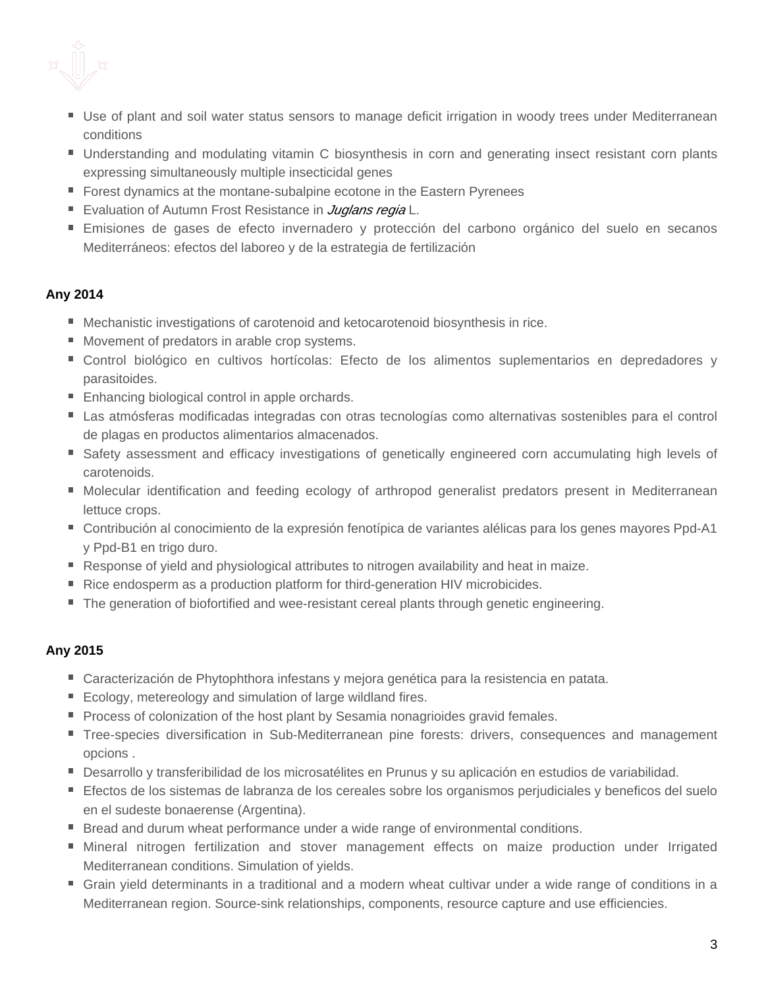

- Use of plant and soil water status sensors to manage deficit irrigation in woody trees under Mediterranean conditions
- Understanding and modulating vitamin C biosynthesis in corn and generating insect resistant corn plants expressing simultaneously multiple insecticidal genes
- **F** Forest dynamics at the montane-subalpine ecotone in the Eastern Pyrenees
- Evaluation of Autumn Frost Resistance in *Juglans regia* L.
- Emisiones de gases de efecto invernadero y protección del carbono orgánico del suelo en secanos Mediterráneos: efectos del laboreo y de la estrategia de fertilización

### **Any 2014**

- Mechanistic investigations of carotenoid and ketocarotenoid biosynthesis in rice.
- Movement of predators in arable crop systems.
- Control biológico en cultivos hortícolas: Efecto de los alimentos suplementarios en depredadores y parasitoides.
- **Enhancing biological control in apple orchards.**
- Las atmósferas modificadas integradas con otras tecnologías como alternativas sostenibles para el control de plagas en productos alimentarios almacenados.
- Safety assessment and efficacy investigations of genetically engineered corn accumulating high levels of carotenoids.
- Molecular identification and feeding ecology of arthropod generalist predators present in Mediterranean lettuce crops.
- Contribución al conocimiento de la expresión fenotípica de variantes alélicas para los genes mayores Ppd-A1 y Ppd-B1 en trigo duro.
- Response of yield and physiological attributes to nitrogen availability and heat in maize.
- Rice endosperm as a production platform for third-generation HIV microbicides.
- The generation of biofortified and wee-resistant cereal plants through genetic engineering.

### **Any 2015**

- Caracterización de Phytophthora infestans y mejora genética para la resistencia en patata.
- Ecology, metereology and simulation of large wildland fires.
- Process of colonization of the host plant by Sesamia nonagrioides gravid females.
- **Tree-species diversification in Sub-Mediterranean pine forests: drivers, consequences and management** opcions .
- Desarrollo y transferibilidad de los microsatélites en Prunus y su aplicación en estudios de variabilidad.
- Efectos de los sistemas de labranza de los cereales sobre los organismos perjudiciales y beneficos del suelo en el sudeste bonaerense (Argentina).
- **Bread and durum wheat performance under a wide range of environmental conditions.**
- Mineral nitrogen fertilization and stover management effects on maize production under Irrigated Mediterranean conditions. Simulation of yields.
- Grain yield determinants in a traditional and a modern wheat cultivar under a wide range of conditions in a Mediterranean region. Source-sink relationships, components, resource capture and use efficiencies.